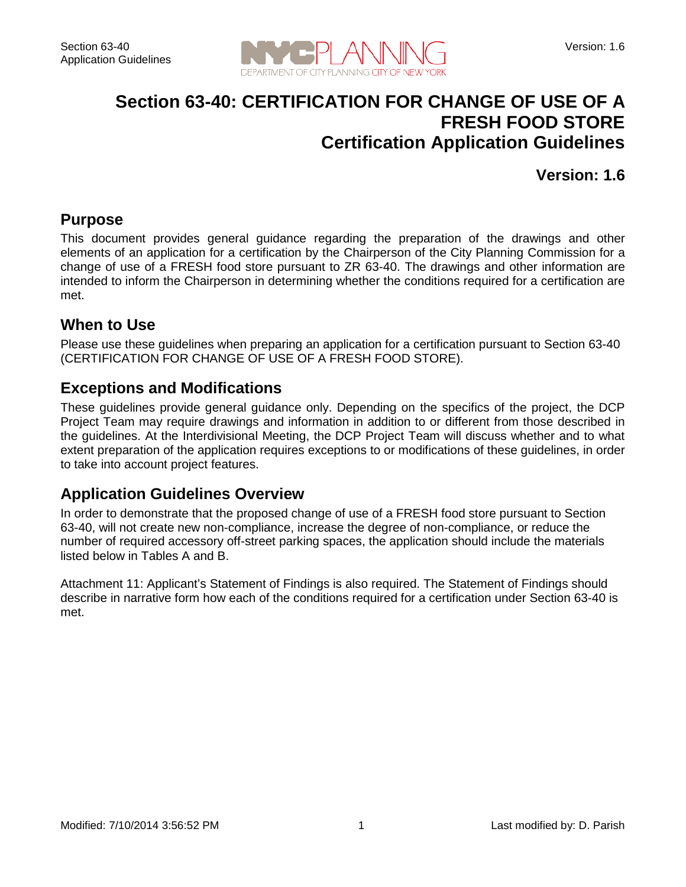

## **Section 63-40: CERTIFICATION FOR CHANGE OF USE OF A FRESH FOOD STORE Certification Application Guidelines**

**Version: 1.6**

#### **Purpose**

This document provides general guidance regarding the preparation of the drawings and other elements of an application for a certification by the Chairperson of the City Planning Commission for a change of use of a FRESH food store pursuant to ZR 63-40. The drawings and other information are intended to inform the Chairperson in determining whether the conditions required for a certification are met.

#### **When to Use**

Please use these guidelines when preparing an application for a certification pursuant to Section 63-40 (CERTIFICATION FOR CHANGE OF USE OF A FRESH FOOD STORE).

#### **Exceptions and Modifications**

These guidelines provide general guidance only. Depending on the specifics of the project, the DCP Project Team may require drawings and information in addition to or different from those described in the guidelines. At the Interdivisional Meeting, the DCP Project Team will discuss whether and to what extent preparation of the application requires exceptions to or modifications of these guidelines, in order to take into account project features.

#### **Application Guidelines Overview**

In order to demonstrate that the proposed change of use of a FRESH food store pursuant to Section 63-40, will not create new non-compliance, increase the degree of non-compliance, or reduce the number of required accessory off-street parking spaces, the application should include the materials listed below in Tables A and B.

Attachment 11: Applicant's Statement of Findings is also required. The Statement of Findings should describe in narrative form how each of the conditions required for a certification under Section 63-40 is met.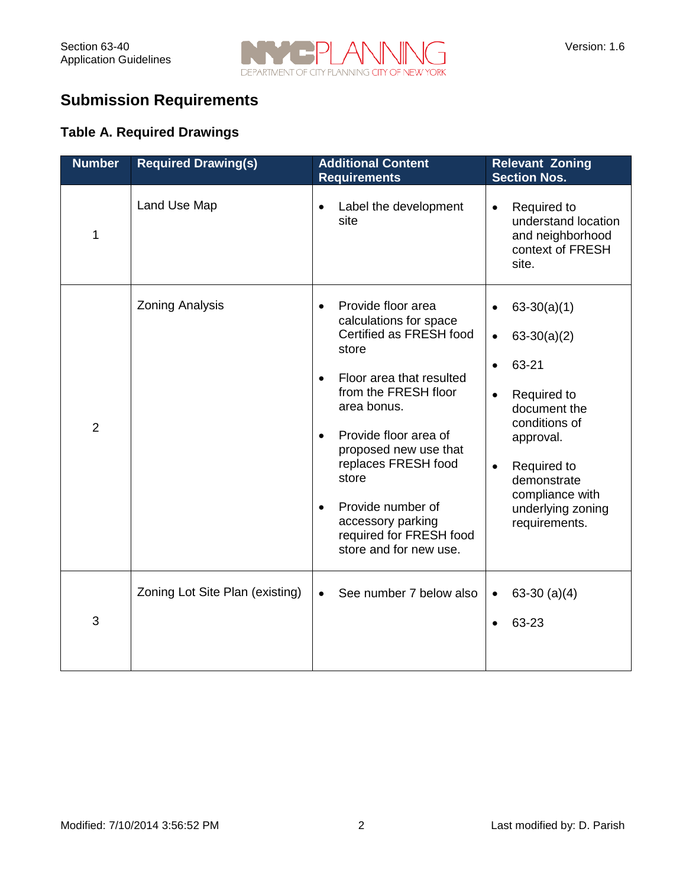

# **Submission Requirements**

#### **Table A. Required Drawings**

| <b>Number</b>  | <b>Required Drawing(s)</b>      | <b>Additional Content</b><br><b>Requirements</b>                                                                                                                                                                                                                                                                                                                                         | <b>Relevant Zoning</b><br><b>Section Nos.</b>                                                                                                                                                                                                   |
|----------------|---------------------------------|------------------------------------------------------------------------------------------------------------------------------------------------------------------------------------------------------------------------------------------------------------------------------------------------------------------------------------------------------------------------------------------|-------------------------------------------------------------------------------------------------------------------------------------------------------------------------------------------------------------------------------------------------|
| 1              | Land Use Map                    | Label the development<br>$\bullet$<br>site                                                                                                                                                                                                                                                                                                                                               | Required to<br>$\bullet$<br>understand location<br>and neighborhood<br>context of FRESH<br>site.                                                                                                                                                |
| $\overline{2}$ | <b>Zoning Analysis</b>          | Provide floor area<br>$\bullet$<br>calculations for space<br>Certified as FRESH food<br>store<br>Floor area that resulted<br>$\bullet$<br>from the FRESH floor<br>area bonus.<br>Provide floor area of<br>$\bullet$<br>proposed new use that<br>replaces FRESH food<br>store<br>Provide number of<br>$\bullet$<br>accessory parking<br>required for FRESH food<br>store and for new use. | $63-30(a)(1)$<br>$63-30(a)(2)$<br>$\bullet$<br>63-21<br>$\bullet$<br>Required to<br>$\bullet$<br>document the<br>conditions of<br>approval.<br>Required to<br>$\bullet$<br>demonstrate<br>compliance with<br>underlying zoning<br>requirements. |
| 3              | Zoning Lot Site Plan (existing) | See number 7 below also<br>$\bullet$                                                                                                                                                                                                                                                                                                                                                     | $63-30$ (a)(4)<br>$\bullet$<br>63-23                                                                                                                                                                                                            |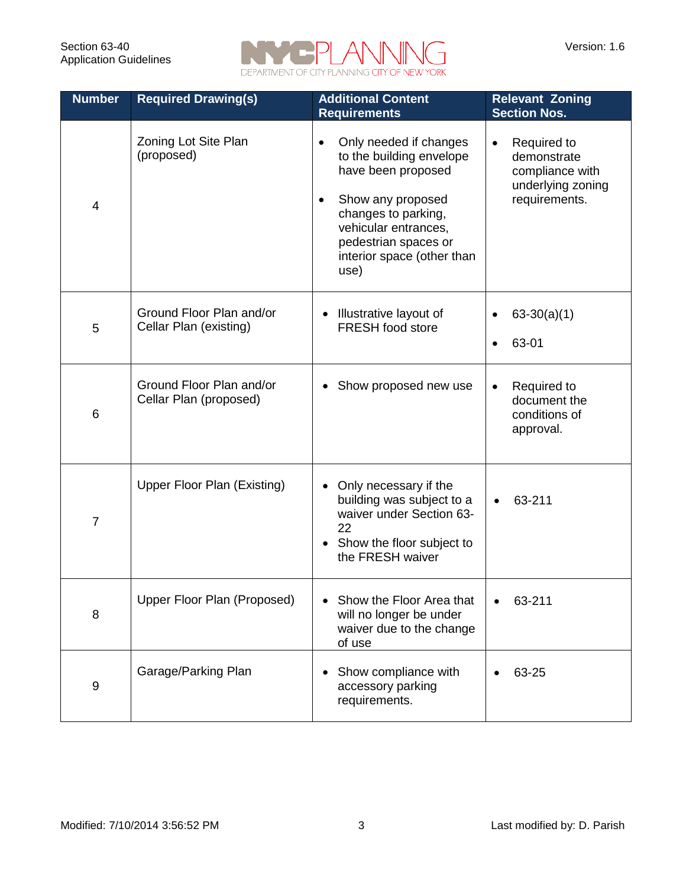

| <b>Number</b>  | <b>Required Drawing(s)</b>                         | <b>Additional Content</b><br><b>Requirements</b>                                                                                                                                                                        | <b>Relevant Zoning</b><br><b>Section Nos.</b>                                                    |
|----------------|----------------------------------------------------|-------------------------------------------------------------------------------------------------------------------------------------------------------------------------------------------------------------------------|--------------------------------------------------------------------------------------------------|
| 4              | Zoning Lot Site Plan<br>(proposed)                 | Only needed if changes<br>$\bullet$<br>to the building envelope<br>have been proposed<br>Show any proposed<br>changes to parking,<br>vehicular entrances,<br>pedestrian spaces or<br>interior space (other than<br>use) | Required to<br>$\bullet$<br>demonstrate<br>compliance with<br>underlying zoning<br>requirements. |
| 5              | Ground Floor Plan and/or<br>Cellar Plan (existing) | Illustrative layout of<br>$\bullet$<br>FRESH food store                                                                                                                                                                 | $63-30(a)(1)$<br>63-01                                                                           |
| 6              | Ground Floor Plan and/or<br>Cellar Plan (proposed) | Show proposed new use                                                                                                                                                                                                   | Required to<br>document the<br>conditions of<br>approval.                                        |
| $\overline{7}$ | Upper Floor Plan (Existing)                        | Only necessary if the<br>$\bullet$<br>building was subject to a<br>waiver under Section 63-<br>22<br>Show the floor subject to<br>the FRESH waiver                                                                      | 63-211                                                                                           |
| 8              | Upper Floor Plan (Proposed)                        | Show the Floor Area that<br>$\bullet$<br>will no longer be under<br>waiver due to the change<br>of use                                                                                                                  | 63-211                                                                                           |
| 9              | Garage/Parking Plan                                | Show compliance with<br>accessory parking<br>requirements.                                                                                                                                                              | 63-25                                                                                            |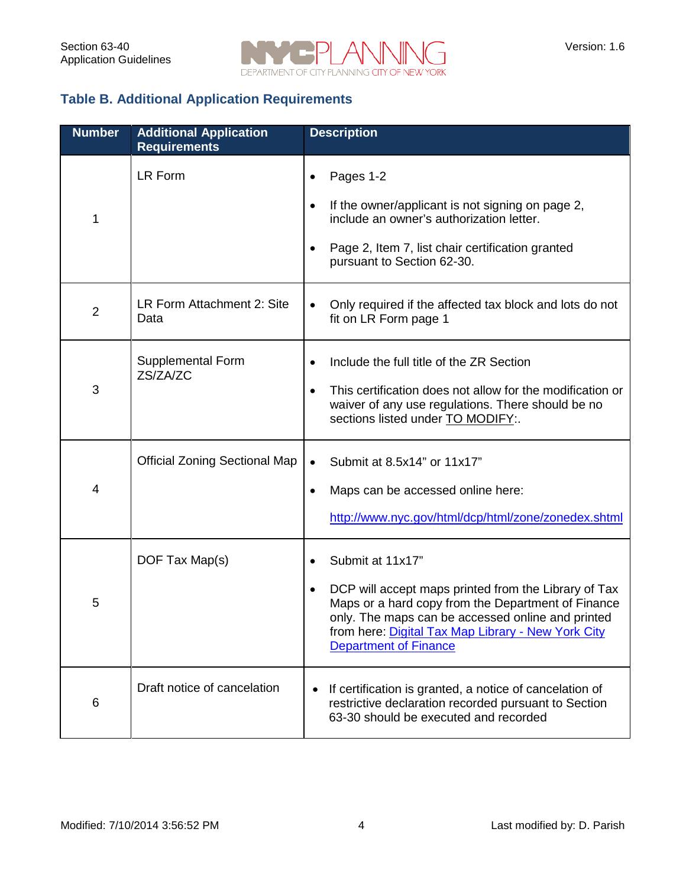

#### **Table B. Additional Application Requirements**

| <b>Number</b>  | <b>Additional Application</b><br><b>Requirements</b> | <b>Description</b>                                                                                                                                                                                                                                                        |
|----------------|------------------------------------------------------|---------------------------------------------------------------------------------------------------------------------------------------------------------------------------------------------------------------------------------------------------------------------------|
| 1              | <b>LR Form</b>                                       | Pages 1-2<br>If the owner/applicant is not signing on page 2,<br>$\bullet$<br>include an owner's authorization letter.<br>Page 2, Item 7, list chair certification granted<br>pursuant to Section 62-30.                                                                  |
| $\overline{2}$ | LR Form Attachment 2: Site<br>Data                   | Only required if the affected tax block and lots do not<br>٠<br>fit on LR Form page 1                                                                                                                                                                                     |
| 3              | Supplemental Form<br>ZS/ZA/ZC                        | Include the full title of the ZR Section<br>This certification does not allow for the modification or<br>waiver of any use regulations. There should be no<br>sections listed under TO MODIFY:.                                                                           |
| 4              | <b>Official Zoning Sectional Map</b>                 | Submit at 8.5x14" or 11x17"<br>$\bullet$<br>Maps can be accessed online here:<br>http://www.nyc.gov/html/dcp/html/zone/zonedex.shtml                                                                                                                                      |
| 5              | DOF Tax Map(s)                                       | Submit at 11x17"<br>DCP will accept maps printed from the Library of Tax<br>Maps or a hard copy from the Department of Finance<br>only. The maps can be accessed online and printed<br>from here: Digital Tax Map Library - New York City<br><b>Department of Finance</b> |
| 6              | Draft notice of cancelation                          | If certification is granted, a notice of cancelation of<br>$\bullet$<br>restrictive declaration recorded pursuant to Section<br>63-30 should be executed and recorded                                                                                                     |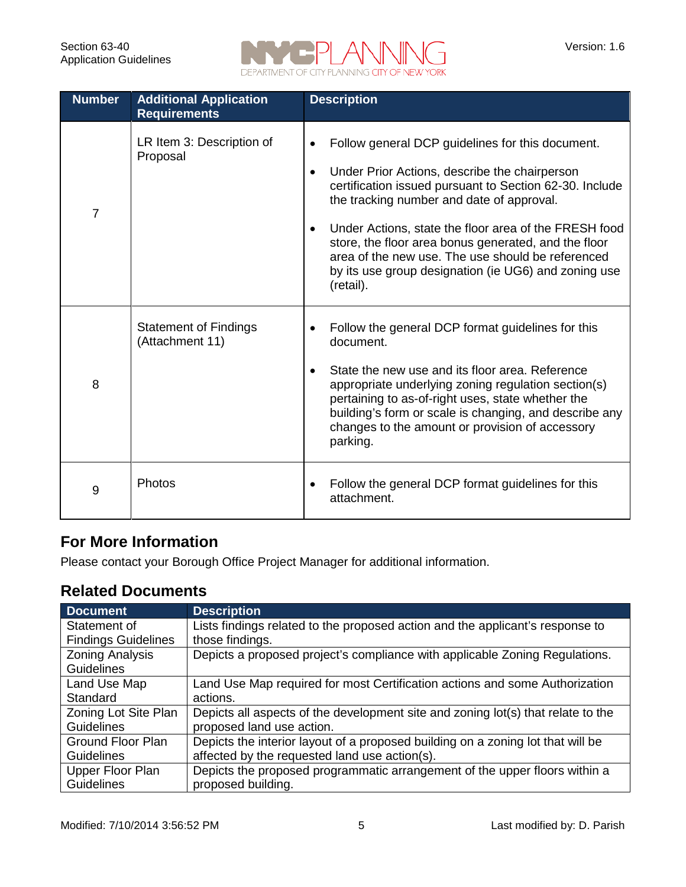

| <b>Number</b>  | <b>Additional Application</b><br><b>Requirements</b> | <b>Description</b>                                                                                                                                                                                                                                                                                                                                                                                                                                                |
|----------------|------------------------------------------------------|-------------------------------------------------------------------------------------------------------------------------------------------------------------------------------------------------------------------------------------------------------------------------------------------------------------------------------------------------------------------------------------------------------------------------------------------------------------------|
| $\overline{7}$ | LR Item 3: Description of<br>Proposal                | Follow general DCP guidelines for this document.<br>Under Prior Actions, describe the chairperson<br>$\bullet$<br>certification issued pursuant to Section 62-30. Include<br>the tracking number and date of approval.<br>Under Actions, state the floor area of the FRESH food<br>store, the floor area bonus generated, and the floor<br>area of the new use. The use should be referenced<br>by its use group designation (ie UG6) and zoning use<br>(retail). |
| 8              | <b>Statement of Findings</b><br>(Attachment 11)      | Follow the general DCP format guidelines for this<br>document.<br>State the new use and its floor area. Reference<br>appropriate underlying zoning regulation section(s)<br>pertaining to as-of-right uses, state whether the<br>building's form or scale is changing, and describe any<br>changes to the amount or provision of accessory<br>parking.                                                                                                            |
| 9              | Photos                                               | Follow the general DCP format guidelines for this<br>attachment.                                                                                                                                                                                                                                                                                                                                                                                                  |

### **For More Information**

Please contact your Borough Office Project Manager for additional information.

### **Related Documents**

| <b>Document</b>            | <b>Description</b>                                                               |
|----------------------------|----------------------------------------------------------------------------------|
| Statement of               | Lists findings related to the proposed action and the applicant's response to    |
| <b>Findings Guidelines</b> | those findings.                                                                  |
| <b>Zoning Analysis</b>     | Depicts a proposed project's compliance with applicable Zoning Regulations.      |
| <b>Guidelines</b>          |                                                                                  |
| Land Use Map               | Land Use Map required for most Certification actions and some Authorization      |
| Standard                   | actions.                                                                         |
| Zoning Lot Site Plan       | Depicts all aspects of the development site and zoning lot(s) that relate to the |
| Guidelines                 | proposed land use action.                                                        |
| Ground Floor Plan          | Depicts the interior layout of a proposed building on a zoning lot that will be  |
| <b>Guidelines</b>          | affected by the requested land use action(s).                                    |
| Upper Floor Plan           | Depicts the proposed programmatic arrangement of the upper floors within a       |
| <b>Guidelines</b>          | proposed building.                                                               |